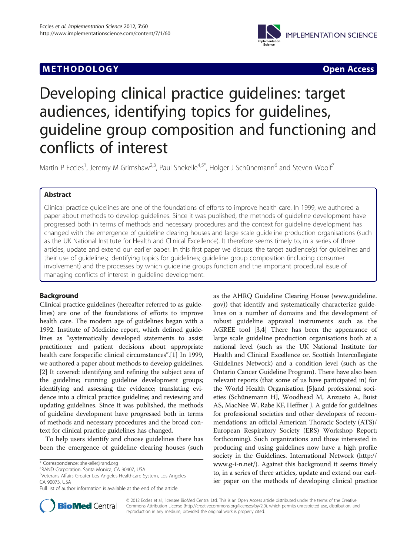## **METHODOLOGY CONSUMING ACCESS**



# Developing clinical practice guidelines: target audiences, identifying topics for guidelines, guideline group composition and functioning and conflicts of interest

Martin P Eccles<sup>1</sup>, Jeremy M Grimshaw<sup>2,3</sup>, Paul Shekelle<sup>4,5\*</sup>, Holger J Schünemann<sup>6</sup> and Steven Woolf<sup>7</sup>

## Abstract

Clinical practice guidelines are one of the foundations of efforts to improve health care. In 1999, we authored a paper about methods to develop guidelines. Since it was published, the methods of guideline development have progressed both in terms of methods and necessary procedures and the context for guideline development has changed with the emergence of guideline clearing houses and large scale guideline production organisations (such as the UK National Institute for Health and Clinical Excellence). It therefore seems timely to, in a series of three articles, update and extend our earlier paper. In this first paper we discuss: the target audience(s) for guidelines and their use of guidelines; identifying topics for guidelines; guideline group composition (including consumer involvement) and the processes by which guideline groups function and the important procedural issue of managing conflicts of interest in guideline development.

## Background

Clinical practice guidelines (hereafter referred to as guidelines) are one of the foundations of efforts to improve health care. The modern age of guidelines began with a 1992. Institute of Medicine report, which defined guidelines as "systematically developed statements to assist practitioner and patient decisions about appropriate health care forspecific clinical circumstances".[\[1\]](#page-6-0) In 1999, we authored a paper about methods to develop guidelines. [[2\]](#page-6-0) It covered: identifying and refining the subject area of the guideline; running guideline development groups; identifying and assessing the evidence; translating evidence into a clinical practice guideline; and reviewing and updating guidelines. Since it was published, the methods of guideline development have progressed both in terms of methods and necessary procedures and the broad context for clinical practice guidelines has changed.

To help users identify and choose guidelines there has been the emergence of guideline clearing houses (such

\* Correspondence: [shekelle@rand.org](mailto:shekelle@rand.org) <sup>4</sup>

as the AHRQ Guideline Clearing House ([www.guideline.](http://www.guideline.gov) [gov](http://www.guideline.gov))) that identify and systematically characterize guidelines on a number of domains and the development of robust guideline appraisal instruments such as the AGREE tool [\[3,4](#page-6-0)] There has been the appearance of large scale guideline production organisations both at a national level (such as the UK National Institute for Health and Clinical Excellence or. Scottish Intercollegiate Guidelines Network) and a condition level (such as the Ontario Cancer Guideline Program). There have also been relevant reports (that some of us have participated in) for the World Health Organisation [\[5\]](#page-6-0)and professional societies (Schünemann HJ, Woodhead M, Anzueto A, Buist AS, MacNee W, Rabe KF, Heffner J. A guide for guidelines for professional societies and other developers of recommendations: an official American Thoracic Society (ATS)/ European Respiratory Society (ERS) Workshop Report; forthcoming). Such organizations and those interested in producing and using guidelines now have a high profile society in the Guidelines. International Network ([http://](http://www.g-i-n.net/) [www.g-i-n.net/\)](http://www.g-i-n.net/). Against this background it seems timely to, in a series of three articles, update and extend our earlier paper on the methods of developing clinical practice



© 2012 Eccles et al.; licensee BioMed Central Ltd. This is an Open Access article distributed under the terms of the Creative Commons Attribution License [\(http://creativecommons.org/licenses/by/2.0\)](http://creativecommons.org/licenses/by/2.0), which permits unrestricted use, distribution, and reproduction in any medium, provided the original work is properly cited.

RAND Corporation, Santa Monica, CA 90407, USA

<sup>5</sup> Veterans Affairs Greater Los Angeles Healthcare System, Los Angeles CA 90073, USA

Full list of author information is available at the end of the article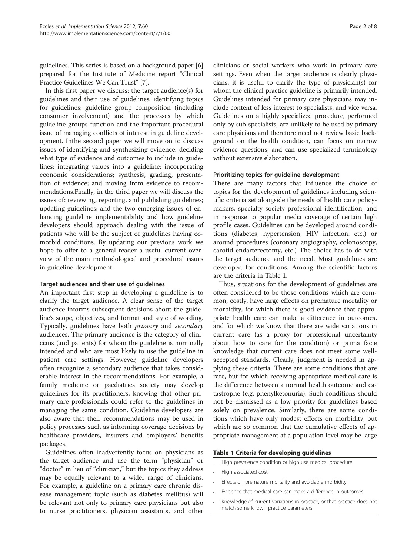guidelines. This series is based on a background paper [[6](#page-6-0)] prepared for the Institute of Medicine report "Clinical Practice Guidelines We Can Trust" [\[7](#page-6-0)].

In this first paper we discuss: the target audience(s) for guidelines and their use of guidelines; identifying topics for guidelines; guideline group composition (including consumer involvement) and the processes by which guideline groups function and the important procedural issue of managing conflicts of interest in guideline development. Inthe second paper we will move on to discuss issues of identifying and synthesizing evidence: deciding what type of evidence and outcomes to include in guidelines; integrating values into a guideline; incorporating economic considerations; synthesis, grading, presentation of evidence; and moving from evidence to recommendations.Finally, in the third paper we will discuss the issues of: reviewing, reporting, and publishing guidelines; updating guidelines; and the two emerging issues of enhancing guideline implementability and how guideline developers should approach dealing with the issue of patients who will be the subject of guidelines having comorbid conditions. By updating our previous work we hope to offer to a general reader a useful current overview of the main methodological and procedural issues in guideline development.

## Target audiences and their use of guidelines

An important first step in developing a guideline is to clarify the target audience. A clear sense of the target audience informs subsequent decisions about the guideline's scope, objectives, and format and style of wording. Typically, guidelines have both primary and secondary audiences. The primary audience is the category of clinicians (and patients) for whom the guideline is nominally intended and who are most likely to use the guideline in patient care settings. However, guideline developers often recognize a secondary audience that takes considerable interest in the recommendations. For example, a family medicine or paediatrics society may develop guidelines for its practitioners, knowing that other primary care professionals could refer to the guidelines in managing the same condition. Guideline developers are also aware that their recommendations may be used in policy processes such as informing coverage decisions by healthcare providers, insurers and employers' benefits packages.

Guidelines often inadvertently focus on physicians as the target audience and use the term "physician" or "doctor" in lieu of "clinician," but the topics they address may be equally relevant to a wider range of clinicians. For example, a guideline on a primary care chronic disease management topic (such as diabetes mellitus) will be relevant not only to primary care physicians but also to nurse practitioners, physician assistants, and other

clinicians or social workers who work in primary care settings. Even when the target audience is clearly physicians, it is useful to clarify the type of physician(s) for whom the clinical practice guideline is primarily intended. Guidelines intended for primary care physicians may include content of less interest to specialists, and vice versa. Guidelines on a highly specialized procedure, performed only by sub-specialists, are unlikely to be used by primary care physicians and therefore need not review basic background on the health condition, can focus on narrow evidence questions, and can use specialized terminology without extensive elaboration.

#### Prioritizing topics for guideline development

There are many factors that influence the choice of topics for the development of guidelines including scientific criteria set alongside the needs of health care policymakers, specialty society professional identification, and in response to popular media coverage of certain high profile cases. Guidelines can be developed around conditions (diabetes, hypertension, HIV infection, etc.) or around procedures (coronary angiography, colonoscopy, carotid endarterectomy, etc.) The choice has to do with the target audience and the need. Most guidelines are developed for conditions. Among the scientific factors are the criteria in Table 1.

Thus, situations for the development of guidelines are often considered to be those conditions which are common, costly, have large effects on premature mortality or morbidity, for which there is good evidence that appropriate health care can make a difference in outcomes, and for which we know that there are wide variations in current care (as a proxy for professional uncertainty about how to care for the condition) or prima facie knowledge that current care does not meet some wellaccepted standards. Clearly, judgment is needed in applying these criteria. There are some conditions that are rare, but for which receiving appropriate medical care is the difference between a normal health outcome and catastrophe (e.g. phenylketonuria). Such conditions should not be dismissed as a low priority for guidelines based solely on prevalence. Similarly, there are some conditions which have only modest effects on morbidity, but which are so common that the cumulative effects of appropriate management at a population level may be large

#### Table 1 Criteria for developing guidelines

• High prevalence condition or high use medical procedure

- High associated cost
- Effects on premature mortality and avoidable morbidity
- Evidence that medical care can make a difference in outcomes
- Knowledge of current variations in practice, or that practice does not match some known practice parameters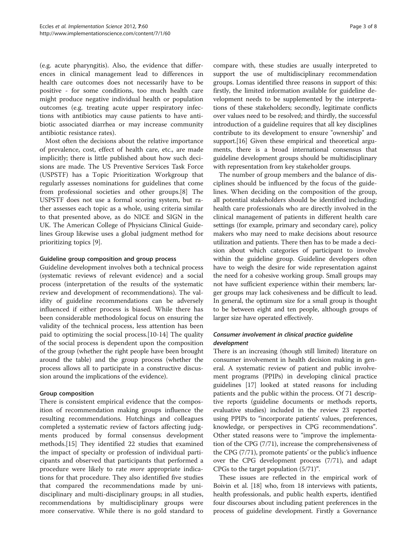(e.g. acute pharyngitis). Also, the evidence that differences in clinical management lead to differences in health care outcomes does not necessarily have to be positive - for some conditions, too much health care might produce negative individual health or population outcomes (e.g. treating acute upper respiratory infections with antibiotics may cause patients to have antibiotic associated diarrhea or may increase community antibiotic resistance rates).

Most often the decisions about the relative importance of prevalence, cost, effect of health care, etc., are made implicitly; there is little published about how such decisions are made. The US Preventive Services Task Force (USPSTF) has a Topic Prioritization Workgroup that regularly assesses nominations for guidelines that come from professional societies and other groups.[\[8](#page-6-0)] The USPSTF does not use a formal scoring system, but rather assesses each topic as a whole, using criteria similar to that presented above, as do NICE and SIGN in the UK. The American College of Physicians Clinical Guidelines Group likewise uses a global judgment method for prioritizing topics [\[9](#page-6-0)].

#### Guideline group composition and group process

Guideline development involves both a technical process (systematic reviews of relevant evidence) and a social process (interpretation of the results of the systematic review and development of recommendations). The validity of guideline recommendations can be adversely influenced if either process is biased. While there has been considerable methodological focus on ensuring the validity of the technical process, less attention has been paid to optimizing the social process.[[10-14](#page-6-0)] The quality of the social process is dependent upon the composition of the group (whether the right people have been brought around the table) and the group process (whether the process allows all to participate in a constructive discussion around the implications of the evidence).

## Group composition

There is consistent empirical evidence that the composition of recommendation making groups influence the resulting recommendations. Hutchings and colleagues completed a systematic review of factors affecting judgments produced by formal consensus development methods.[\[15\]](#page-6-0) They identified 22 studies that examined the impact of specialty or profession of individual participants and observed that participants that performed a procedure were likely to rate more appropriate indications for that procedure. They also identified five studies that compared the recommendations made by unidisciplinary and multi-disciplinary groups; in all studies, recommendations by multidisciplinary groups were more conservative. While there is no gold standard to

compare with, these studies are usually interpreted to support the use of multidisciplinary recommendation groups. Lomas identified three reasons in support of this: firstly, the limited information available for guideline development needs to be supplemented by the interpretations of these stakeholders; secondly, legitimate conflicts over values need to be resolved; and thirdly, the successful introduction of a guideline requires that all key disciplines contribute to its development to ensure "ownership" and support.<sup>[[16](#page-6-0)]</sup> Given these empirical and theoretical arguments, there is a broad international consensus that guideline development groups should be multidisciplinary with representation from key stakeholder groups.

The number of group members and the balance of disciplines should be influenced by the focus of the guidelines. When deciding on the composition of the group, all potential stakeholders should be identified including: health care professionals who are directly involved in the clinical management of patients in different health care settings (for example, primary and secondary care), policy makers who may need to make decisions about resource utilization and patients. There then has to be made a decision about which categories of participant to involve within the guideline group. Guideline developers often have to weigh the desire for wide representation against the need for a cohesive working group. Small groups may not have sufficient experience within their members; larger groups may lack cohesiveness and be difficult to lead. In general, the optimum size for a small group is thought to be between eight and ten people, although groups of larger size have operated effectively.

## Consumer involvement in clinical practice guideline development

There is an increasing (though still limited) literature on consumer involvement in health decision making in general. A systematic review of patient and public involvement programs (PPIPs) in developing clinical practice guidelines [[17](#page-6-0)] looked at stated reasons for including patients and the public within the process. Of 71 descriptive reports (guideline documents or methods reports, evaluative studies) included in the review 23 reported using PPIPs to "incorporate patients' values, preferences, knowledge, or perspectives in CPG recommendations". Other stated reasons were to "improve the implementation of the CPG (7/71), increase the comprehensiveness of the CPG (7/71), promote patients' or the public's influence over the CPG development process (7/71), and adapt CPGs to the target population (5/71)".

These issues are reflected in the empirical work of Boivin et al. [\[18](#page-6-0)] who, from 18 interviews with patients, health professionals, and public health experts, identified four discourses about including patient preferences in the process of guideline development. Firstly a Governance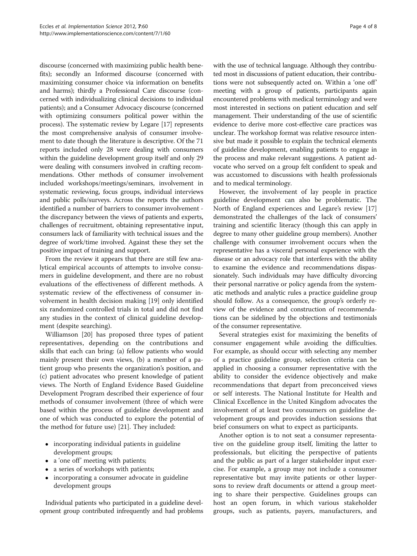discourse (concerned with maximizing public health benefits); secondly an Informed discourse (concerned with maximizing consumer choice via information on benefits and harms); thirdly a Professional Care discourse (concerned with individualizing clinical decisions to individual patients); and a Consumer Advocacy discourse (concerned with optimizing consumers political power within the process). The systematic review by Legare [\[17\]](#page-6-0) represents the most comprehensive analysis of consumer involvement to date though the literature is descriptive. Of the 71 reports included only 28 were dealing with consumers within the guideline development group itself and only 29 were dealing with consumers involved in crafting recommendations. Other methods of consumer involvement included workshops/meetings/seminars, involvement in systematic reviewing, focus groups, individual interviews and public polls/surveys. Across the reports the authors identified a number of barriers to consumer involvement the discrepancy between the views of patients and experts, challenges of recruitment, obtaining representative input, consumers lack of familiarity with technical issues and the degree of work/time involved. Against these they set the positive impact of training and support.

From the review it appears that there are still few analytical empirical accounts of attempts to involve consumers in guideline development, and there are no robust evaluations of the effectiveness of different methods. A systematic review of the effectiveness of consumer involvement in health decision making [\[19\]](#page-6-0) only identified six randomized controlled trials in total and did not find any studies in the context of clinical guideline development (despite searching).

Williamson [[20](#page-6-0)] has proposed three types of patient representatives, depending on the contributions and skills that each can bring: (a) fellow patients who would mainly present their own views, (b) a member of a patient group who presents the organization's position, and (c) patient advocates who present knowledge of patient views. The North of England Evidence Based Guideline Development Program described their experience of four methods of consumer involvement (three of which were based within the process of guideline development and one of which was conducted to explore the potential of the method for future use) [[21\]](#page-6-0). They included:

- incorporating individual patients in guideline development groups;
- a 'one off' meeting with patients;
- a series of workshops with patients;
- incorporating a consumer advocate in guideline development groups

Individual patients who participated in a guideline development group contributed infrequently and had problems

with the use of technical language. Although they contributed most in discussions of patient education, their contributions were not subsequently acted on. Within a 'one off' meeting with a group of patients, participants again encountered problems with medical terminology and were most interested in sections on patient education and self management. Their understanding of the use of scientific evidence to derive more cost-effective care practices was unclear. The workshop format was relative resource intensive but made it possible to explain the technical elements of guideline development, enabling patients to engage in the process and make relevant suggestions. A patient advocate who served on a group felt confident to speak and was accustomed to discussions with health professionals and to medical terminology.

However, the involvement of lay people in practice guideline development can also be problematic. The North of England experiences and Legare's review [[17](#page-6-0)] demonstrated the challenges of the lack of consumers' training and scientific literacy (though this can apply in degree to many other guideline group members). Another challenge with consumer involvement occurs when the representative has a visceral personal experience with the disease or an advocacy role that interferes with the ability to examine the evidence and recommendations dispassionately. Such individuals may have difficulty divorcing their personal narrative or policy agenda from the systematic methods and analytic rules a practice guideline group should follow. As a consequence, the group's orderly review of the evidence and construction of recommendations can be sidelined by the objections and testimonials of the consumer representative.

Several strategies exist for maximizing the benefits of consumer engagement while avoiding the difficulties. For example, as should occur with selecting any member of a practice guideline group, selection criteria can be applied in choosing a consumer representative with the ability to consider the evidence objectively and make recommendations that depart from preconceived views or self interests. The National Institute for Health and Clinical Excellence in the United Kingdom advocates the involvement of at least two consumers on guideline development groups and provides induction sessions that brief consumers on what to expect as participants.

Another option is to not seat a consumer representative on the guideline group itself, limiting the latter to professionals, but eliciting the perspective of patients and the public as part of a larger stakeholder input exercise. For example, a group may not include a consumer representative but may invite patients or other laypersons to review draft documents or attend a group meeting to share their perspective. Guidelines groups can host an open forum, in which various stakeholder groups, such as patients, payers, manufacturers, and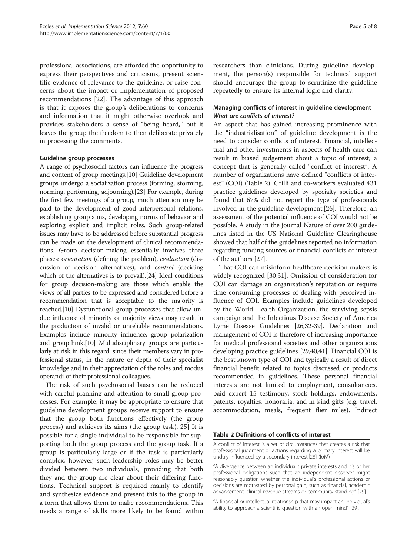professional associations, are afforded the opportunity to express their perspectives and criticisms, present scientific evidence of relevance to the guideline, or raise concerns about the impact or implementation of proposed recommendations [[22](#page-6-0)]. The advantage of this approach is that it exposes the group's deliberations to concerns and information that it might otherwise overlook and provides stakeholders a sense of "being heard," but it leaves the group the freedom to then deliberate privately in processing the comments.

#### Guideline group processes

A range of psychosocial factors can influence the progress and content of group meetings.[\[10\]](#page-6-0) Guideline development groups undergo a socialization process (forming, storming, norming, performing, adjourning).[\[23\]](#page-6-0) For example, during the first few meetings of a group, much attention may be paid to the development of good interpersonal relations, establishing group aims, developing norms of behavior and exploring explicit and implicit roles. Such group-related issues may have to be addressed before substantial progress can be made on the development of clinical recommendations. Group decision-making essentially involves three phases: orientation (defining the problem), evaluation (discussion of decision alternatives), and control (deciding which of the alternatives is to prevail).[[24](#page-6-0)] Ideal conditions for group decision-making are those which enable the views of all parties to be expressed and considered before a recommendation that is acceptable to the majority is reached.[\[10\]](#page-6-0) Dysfunctional group processes that allow undue influence of minority or majority views may result in the production of invalid or unreliable recommendations. Examples include minority influence, group polarization and groupthink.[\[10\]](#page-6-0) Multidisciplinary groups are particularly at risk in this regard, since their members vary in professional status, in the nature or depth of their specialist knowledge and in their appreciation of the roles and modus operandi of their professional colleagues.

The risk of such psychosocial biases can be reduced with careful planning and attention to small group processes. For example, it may be appropriate to ensure that guideline development groups receive support to ensure that the group both functions effectively (the group process) and achieves its aims (the group task).[[25](#page-6-0)] It is possible for a single individual to be responsible for supporting both the group process and the group task. If a group is particularly large or if the task is particularly complex, however, such leadership roles may be better divided between two individuals, providing that both they and the group are clear about their differing functions. Technical support is required mainly to identify and synthesize evidence and present this to the group in a form that allows them to make recommendations. This needs a range of skills more likely to be found within researchers than clinicians. During guideline development, the person(s) responsible for technical support should encourage the group to scrutinize the guideline repeatedly to ensure its internal logic and clarity.

## Managing conflicts of interest in guideline development What are conflicts of interest?

An aspect that has gained increasing prominence with the "industrialisation" of guideline development is the need to consider conflicts of interest. Financial, intellectual and other investments in aspects of health care can result in biased judgement about a topic of interest; a concept that is generally called "conflict of interest". A number of organizations have defined "conflicts of interest" (COI) (Table 2). Grilli and co-workers evaluated 431 practice guidelines developed by specialty societies and found that 67% did not report the type of professionals involved in the guideline development.[[26](#page-7-0)]. Therefore, an assessment of the potential influence of COI would not be possible. A study in the journal Nature of over 200 guidelines listed in the US National Guideline Clearinghouse showed that half of the guidelines reported no information regarding funding sources or financial conflicts of interest of the authors [\[27\]](#page-7-0).

That COI can misinform healthcare decision makers is widely recognized [[30](#page-7-0),[31](#page-7-0)]. Omission of consideration for COI can damage an organization's reputation or require time consuming processes of dealing with perceived influence of COI. Examples include guidelines developed by the World Health Organization, the surviving sepsis campaign and the Infectious Disease Society of America Lyme Disease Guidelines [[26,32-39](#page-7-0)]. Declaration and management of COI is therefore of increasing importance for medical professional societies and other organizations developing practice guidelines [[29,40,41\]](#page-7-0). Financial COI is the best known type of COI and typically a result of direct financial benefit related to topics discussed or products recommended in guidelines. These personal financial interests are not limited to employment, consultancies, paid expert 15 testimony, stock holdings, endowments, patents, royalties, honoraria, and in kind gifts (e.g. travel, accommodation, meals, frequent flier miles). Indirect

#### Table 2 Definitions of conflicts of interest

A conflict of interest is a set of circumstances that creates a risk that professional judgment or actions regarding a primary interest will be unduly influenced by a secondary interest.[\[28\]](#page-7-0) (IoM)

"A divergence between an individual's private interests and his or her professional obligations such that an independent observer might reasonably question whether the individual's professional actions or decisions are motivated by personal gain, such as financial, academic advancement, clinical revenue streams or community standing" [\[29\]](#page-7-0)

"A financial or intellectual relationship that may impact an individual's ability to approach a scientific question with an open mind" [[29](#page-7-0)].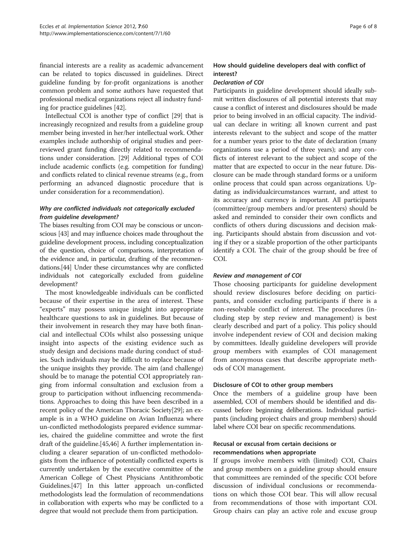financial interests are a reality as academic advancement can be related to topics discussed in guidelines. Direct guideline funding by for-profit organizations is another common problem and some authors have requested that professional medical organizations reject all industry funding for practice guidelines [[42](#page-7-0)].

Intellectual COI is another type of conflict [\[29\]](#page-7-0) that is increasingly recognized and results from a guideline group member being invested in her/her intellectual work. Other examples include authorship of original studies and peerreviewed grant funding directly related to recommendations under consideration. [\[29\]](#page-7-0) Additional types of COI include academic conflicts (e.g. competition for funding) and conflicts related to clinical revenue streams (e.g., from performing an advanced diagnostic procedure that is under consideration for a recommendation).

## Why are conflicted individuals not categorically excluded from guideline development?

The biases resulting from COI may be conscious or unconscious [\[43\]](#page-7-0) and may influence choices made throughout the guideline development process, including conceptualization of the question, choice of comparisons, interpretation of the evidence and, in particular, drafting of the recommendations.[\[44](#page-7-0)] Under these circumstances why are conflicted individuals not categorically excluded from guideline development?

The most knowledgeable individuals can be conflicted because of their expertise in the area of interest. These "experts" may possess unique insight into appropriate healthcare questions to ask in guidelines. But because of their involvement in research they may have both financial and intellectual COIs whilst also possessing unique insight into aspects of the existing evidence such as study design and decisions made during conduct of studies. Such individuals may be difficult to replace because of the unique insights they provide. The aim (and challenge) should be to manage the potential COI appropriately ranging from informal consultation and exclusion from a group to participation without influencing recommendations. Approaches to doing this have been described in a recent policy of the American Thoracic Society[\[29\]](#page-7-0); an example is in a WHO guideline on Avian Influenza where un-conflicted methodologists prepared evidence summaries, chaired the guideline committee and wrote the first draft of the guideline.[[45,46\]](#page-7-0) A further implementation including a clearer separation of un-conflicted methodologists from the influence of potentially conflicted experts is currently undertaken by the executive committee of the American College of Chest Physicians Antithrombotic Guidelines.[\[47](#page-7-0)] In this latter approach un-conflicted methodologists lead the formulation of recommendations in collaboration with experts who may be conflicted to a degree that would not preclude them from participation.

## How should guideline developers deal with conflict of interest?

#### Declaration of COI

Participants in guideline development should ideally submit written disclosures of all potential interests that may cause a conflict of interest and disclosures should be made prior to being involved in an official capacity. The individual can declare in writing: all known current and past interests relevant to the subject and scope of the matter for a number years prior to the date of declaration (many organizations use a period of three years); and any conflicts of interest relevant to the subject and scope of the matter that are expected to occur in the near future. Disclosure can be made through standard forms or a uniform online process that could span across organizations. Updating as individualcircumstances warrant, and attest to its accuracy and currency is important. All participants (committee/group members and/or presenters) should be asked and reminded to consider their own conflicts and conflicts of others during discussions and decision making. Participants should abstain from discussion and voting if they or a sizable proportion of the other participants identify a COI. The chair of the group should be free of COI.

#### Review and management of COI

Those choosing participants for guideline development should review disclosures before deciding on participants, and consider excluding participants if there is a non-resolvable conflict of interest. The procedures (including step by step review and management) is best clearly described and part of a policy. This policy should involve independent review of COI and decision making by committees. Ideally guideline developers will provide group members with examples of COI management from anonymous cases that describe appropriate methods of COI management.

#### Disclosure of COI to other group members

Once the members of a guideline group have been assembled, COI of members should be identified and discussed before beginning deliberations. Individual participants (including project chairs and group members) should label where COI bear on specific recommendations.

## Recusal or excusal from certain decisions or recommendations when appropriate

If groups involve members with (limited) COI, Chairs and group members on a guideline group should ensure that committees are reminded of the specific COI before discussion of individual conclusions or recommendations on which those COI bear. This will allow recusal from recommendations of those with important COI. Group chairs can play an active role and excuse group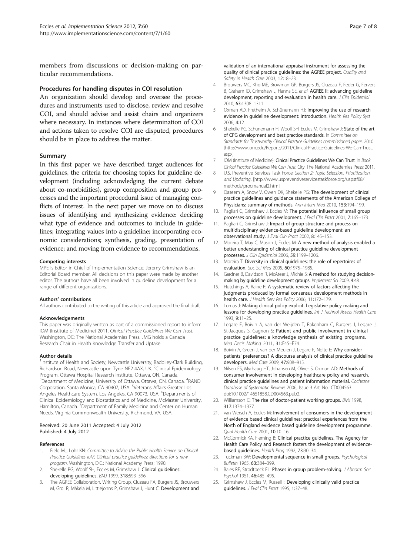<span id="page-6-0"></span>members from discussions or decision-making on particular recommendations.

#### Procedures for handling disputes in COI resolution

An organization should develop and oversee the procedures and instruments used to disclose, review and resolve COI, and should advise and assist chairs and organizers where necessary. In instances where determination of COI and actions taken to resolve COI are disputed, procedures should be in place to address the matter.

#### Summary

In this first paper we have described target audiences for guidelines, the criteria for choosing topics for guideline development (including acknowledging the current debate about co-morbidities), group composition and group processes and the important procedural issue of managing conflicts of interest. In the next paper we move on to discuss issues of identifying and synthesizing evidence: deciding what type of evidence and outcomes to include in guidelines; integrating values into a guideline; incorporating economic considerations; synthesis, grading, presentation of evidence; and moving from evidence to recommendations.

#### Competing interests

MPE is Editor in Chief of Implementation Science; Jeremy Grimshaw is an Editorial Board member. All decisions on this paper were made by another editor. The authors have all been involved in guideline development for a range of different organizations.

#### Authors' contributions

All authors contributed to the writing of this article and approved the final draft.

#### Acknowledgements

This paper was originally written as part of a commissioned report to inform IOM (Institute of Medicine) 2011. Clinical Practice Guidelines We Can Trust. Washington, DC: The National Academies Press. JMG holds a Canada Research Chair in Health Knowledge Transfer and Uptake.

#### Author details

<sup>1</sup>Institute of Health and Society, Newcastle University, Baddiley-Clark Building, Richardson Road, Newcastle upon Tyne NE2 4AX, UK. <sup>2</sup>Clinical Epidemiology Program, Ottawa Hospital Research Institute, Ottawa, ON, Canada. <sup>3</sup>Department of Medicine, University of Ottawa, Ottawa, ON, Canada. <sup>4</sup>RAND Corporation, Santa Monica, CA 90407, USA. <sup>5</sup>Veterans Affairs Greater Los Angeles Healthcare System, Los Angeles, CA 90073, USA. <sup>6</sup>Departments of Clinical Epidemiology and Biostatistics and of Medicine, McMaster University, Hamilton, Canada. <sup>7</sup>Department of Family Medicine and Center on Human Needs, Virginia Commonwealth University, Richmond, VA, USA.

#### Received: 20 June 2011 Accepted: 4 July 2012 Published: 4 July 2012

#### References

- 1. Field MJ, Lohr KN: Committee to Advise the Public Health Service on Clinical Practice Guidelines IoM: Clinical practice guidelines: directions for a new program. Washington, D.C.: National Academy Press; 1990.
- 2. Shekelle PG, Woolf SH, Eccles M, Grimshaw J: Clinical guidelines: developing guidelines. BMJ 1999, 318:593–596.
- 3. The AGREE Collaboration. Writing Group, Cluzeau FA, Burgers JS, Brouwers M, Grol R, Mäkelä M, Littlejohns P, Grimshaw J, Hunt C: Development and
- 4. Brouwers MC, Kho ME, Browman GP, Burgers JS, Cluzeau F, Feder G, Fervers B, Graham ID, Grimshaw J, Hanna SE, et al: AGREE II: advancing guideline development, reporting and evaluation in health care. J Clin Epidemiol 2010, 63:1308–1311.
- 5. Oxman AD, Fretheim A, Schünemann HJ: Improving the use of research evidence in guideline development: introduction. Health Res Policy Syst 2006, 4:12.
- Shekelle PG, Schunemann H, Woolf SH, Eccles M, Grimshaw J: State of the art of CPG development and best practice standards. In Committee on Standards for Trustworthy Clinical Practice Guidelines commissioned paper. 2010. [[http://www.iom.edu/Reports/2011/Clinical-Practice-Guidelines-We-Can-Trust.](http://dx.doi.org/10.1002/14651858) [aspx](http://dx.doi.org/10.1002/14651858)]
- 7. IOM (Institute of Medicine): Cinical Practice Guidelines We Can Trust. In Book Cinical Practice Guidelines We Can Trust. City: The National Academies Press; 2011.
- 8. U.S. Preventive Services Task Force: Section 2: Topic Selection, Prioritization, and Updating. [\[http://www.uspreventiveservicestaskforce.org/uspstf08/](http://www.uspreventiveservicestaskforce.org/uspstf08/methods/procmanual2.htm) [methods/procmanual2.htm\]](http://www.uspreventiveservicestaskforce.org/uspstf08/methods/procmanual2.htm)
- 9. Qaseem A, Snow V, Owen DK, Shekelle PG: The development of clinical practice guidelines and guidance statements of the American College of Physicians: summary of methods. Ann Intern Med 2010, 153:194–199.
- 10. Pagliari C, Grimshaw J, Eccles M: The potential influence of small group processes on guideline development. J Eval Clin Pract 2001, 7:165–173.
- 11. Pagliari C, Grimshaw J: Impact of group structure and process on multidisciplinary evidence-based guideline development: an observational study. J Eval Clin Pract 2002, 8:145-153.
- 12. Moreira T, May C, Mason J, Eccles M: A new method of analysis enabled a better understanding of clinical practice guideline development processes. J Clin Epidemiol 2006, 59:1199–1206.
- 13. Moreira T: Diversity in clinical guidelines: the role of repertoires of evaluation. Soc Sci Med 2005, 60:1975–1985.
- 14. Gardner B, Davidson R, McAteer J, Michie S: A method for studying decisionmaking by guideline development groups. Implement Sci 2009, 4:48.
- 15. Hutchings A, Raine R: A systematic review of factors affecting the judgments produced by formal consensus development methods in health care. J Health Serv Res Policy 2006, 11:172-179.
- 16. Lomas J: Making clinical policy explicit. Legislative policy making and lessons for developing practice guidelines. Int J Technol Assess Health Care 1993, 9:11–25.
- 17. Legare F, Boivin A, van der Weijden T, Pakenham C, Burgers J, Legare J, St-Jacques S, Gagnon S: Patient and public involvement in clinical practice guidelines: a knowledge synthesis of existing programs. Med Decis Making 2011, 31:E45–E74.
- 18. Boivin A, Green J, van der Meulen J, Legare F, Nolte E: Why consider patients' preferences? A discourse analysis of clinical practice guideline developers. Med Care 2009, 47:908–915.
- 19. Nilsen ES, Myrhaug HT, Johansen M, Oliver S, Oxman AD: Methods of consumer involvement in developing healthcare policy and research, clinical practice guidelines and patient information material. Cochrane Database of Systematic Reviews 2006, Issue 3 Art. No.: CD004563 doi[:10.1002/14651858](http://dx.doi.org/10.1002/14651858).CD004563.pub2.
- 20. Williamson C: The rise of doctor-patient working groups. BMJ 1998, 317:1374–1377.
- 21. van Wersch A, Eccles M: Involvement of consumers in the development of evidence based clinical guidelines: practical experiences from the North of England evidence based guideline development programme. Qual Health Care 2001, 10:10–16.
- 22. McCormick KA, Fleming B: Clinical practice guidelines. The Agency for Health Care Policy and Research fosters the development of evidencebased guidelines. Health Prog 1992, 73:30–34.
- 23. Tuckman BW: Developmental sequence in small groups. Psychological Bulletin 1965, 63:384–399.
- 24. Bales RF, Strodtbeck FL: Phases in group problem-solving. J Abnorm Soc Psychol 1951, 46:485–495.
- 25. Grimshaw J, Eccles M, Russell I: Developing clinically valid practice guidelines. J Eval Clin Pract 1995, 1:37-48.